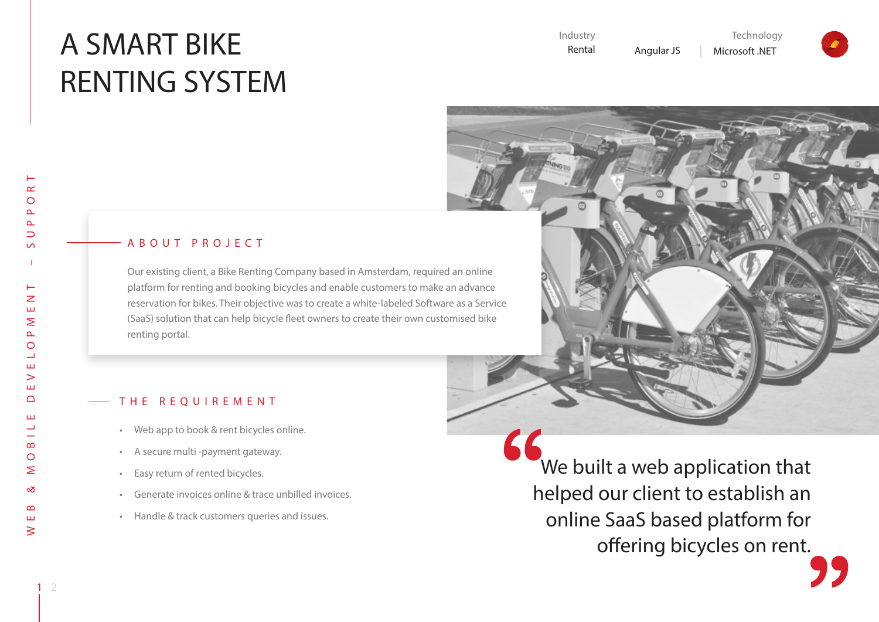# A SMART BIKE RENTING SYSTEM



 $\vdash$ 

## A B O U T P R O J E C T

Our existing client, a Bike Renting Company based in Amsterdam, required an online platform for renting and booking bicycles and enable customers to make an advance reservation for bikes. Their objective was to create a white-labeled Software as a Service (SaaS) solution that can help bicycle fleet owners to create their own customised bike renting portal.

#### THE REQUIREMENT

- • Web app to book & rent bicycles online.
- • A secure multi -payment gateway.
- • Easy return of rented bicycles.
- • Generate invoices online & trace unbilled invoices.
- • Handle & track customers queries and issues.

 We built a web application that helped our client to establish an online SaaS based platform for offering bicycles on rent.